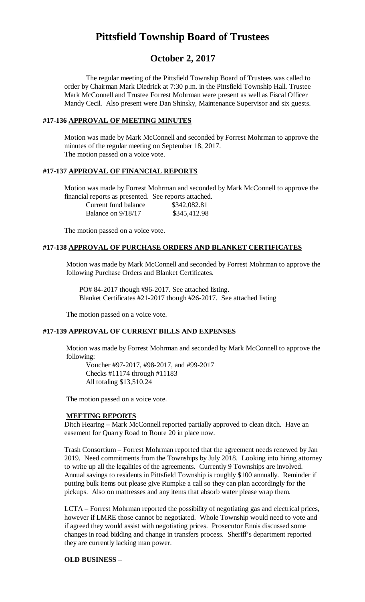# **Pittsfield Township Board of Trustees**

# **October 2, 2017**

The regular meeting of the Pittsfield Township Board of Trustees was called to order by Chairman Mark Diedrick at 7:30 p.m. in the Pittsfield Township Hall. Trustee Mark McConnell and Trustee Forrest Mohrman were present as well as Fiscal Officer Mandy Cecil. Also present were Dan Shinsky, Maintenance Supervisor and six guests.

#### **#17-136 APPROVAL OF MEETING MINUTES**

Motion was made by Mark McConnell and seconded by Forrest Mohrman to approve the minutes of the regular meeting on September 18, 2017. The motion passed on a voice vote.

#### **#17-137 APPROVAL OF FINANCIAL REPORTS**

Motion was made by Forrest Mohrman and seconded by Mark McConnell to approve the financial reports as presented. See reports attached.

| Current fund balance |  |
|----------------------|--|
| Balance on 9/18/17   |  |

\$342,082.81 \$345,412.98

The motion passed on a voice vote.

#### **#17-138 APPROVAL OF PURCHASE ORDERS AND BLANKET CERTIFICATES**

Motion was made by Mark McConnell and seconded by Forrest Mohrman to approve the following Purchase Orders and Blanket Certificates.

PO# 84-2017 though #96-2017. See attached listing. Blanket Certificates #21-2017 though #26-2017. See attached listing

The motion passed on a voice vote.

#### **#17-139 APPROVAL OF CURRENT BILLS AND EXPENSES**

Motion was made by Forrest Mohrman and seconded by Mark McConnell to approve the following:

Voucher #97-2017, #98-2017, and #99-2017 Checks #11174 through #11183 All totaling \$13,510.24

The motion passed on a voice vote.

#### **MEETING REPORTS**

Ditch Hearing – Mark McConnell reported partially approved to clean ditch. Have an easement for Quarry Road to Route 20 in place now.

Trash Consortium – Forrest Mohrman reported that the agreement needs renewed by Jan 2019. Need commitments from the Townships by July 2018. Looking into hiring attorney to write up all the legalities of the agreements. Currently 9 Townships are involved. Annual savings to residents in Pittsfield Township is roughly \$100 annually. Reminder if putting bulk items out please give Rumpke a call so they can plan accordingly for the pickups. Also on mattresses and any items that absorb water please wrap them.

LCTA – Forrest Mohrman reported the possibility of negotiating gas and electrical prices, however if LMRE those cannot be negotiated. Whole Township would need to vote and if agreed they would assist with negotiating prices. Prosecutor Ennis discussed some changes in road bidding and change in transfers process. Sheriff's department reported they are currently lacking man power.

#### **OLD BUSINESS** –